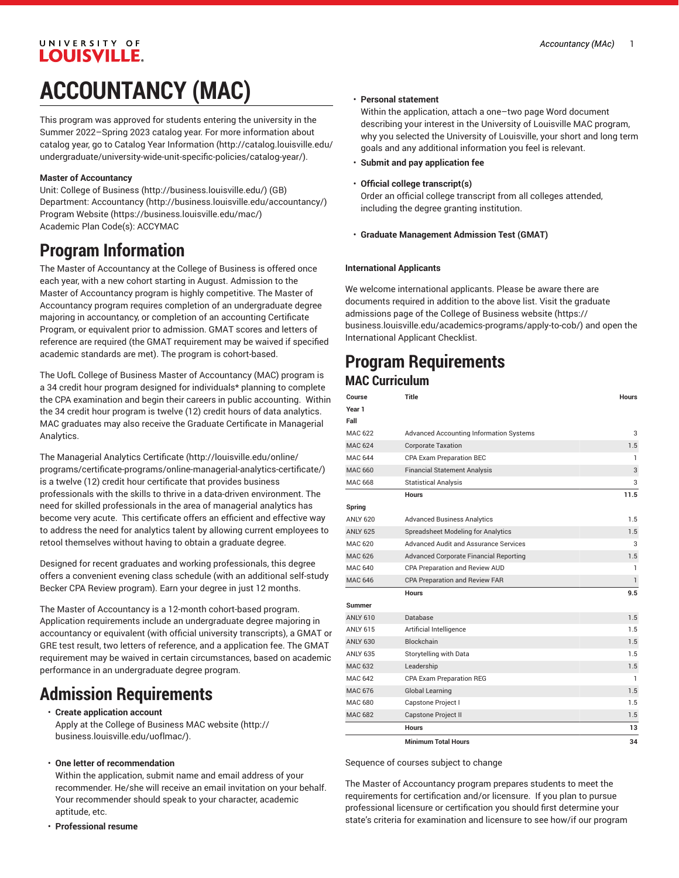## UNIVERSITY OF **LOUISVILLE. ACCOUNTANCY (MAC)**

This program was approved for students entering the university in the Summer 2022–Spring 2023 catalog year. For more information about catalog year, go to Catalog Year [Information](http://catalog.louisville.edu/undergraduate/university-wide-unit-specific-policies/catalog-year/) ([http://catalog.louisville.edu/](http://catalog.louisville.edu/undergraduate/university-wide-unit-specific-policies/catalog-year/) [undergraduate/university-wide-unit-specific-policies/catalog-year/](http://catalog.louisville.edu/undergraduate/university-wide-unit-specific-policies/catalog-year/)).

### **Master of Accountancy**

Unit: [College of Business \(http://business.louisville.edu/](http://business.louisville.edu/)) (GB) Department: [Accountancy \(http://business.louisville.edu/accountancy/](http://business.louisville.edu/accountancy/)) [Program](https://business.louisville.edu/mac/) Website [\(https://business.louisville.edu/mac/\)](https://business.louisville.edu/mac/) Academic Plan Code(s): ACCYMAC

# **Program Information**

The Master of Accountancy at the College of Business is offered once each year, with a new cohort starting in August. Admission to the Master of Accountancy program is highly competitive. The Master of Accountancy program requires completion of an undergraduate degree majoring in accountancy, or completion of an accounting Certificate Program, or equivalent prior to admission. GMAT scores and letters of reference are required (the GMAT requirement may be waived if specified academic standards are met). The program is cohort-based.

The UofL College of Business Master of Accountancy (MAC) program is a 34 credit hour program designed for individuals\* planning to complete the CPA examination and begin their careers in public accounting. Within the 34 credit hour program is twelve (12) credit hours of data analytics. MAC graduates may also receive the Graduate Certificate in Managerial Analytics.

The [Managerial](http://louisville.edu/online/programs/certificate-programs/online-managerial-analytics-certificate/) Analytics Certificate ([http://louisville.edu/online/](http://louisville.edu/online/programs/certificate-programs/online-managerial-analytics-certificate/) [programs/certificate-programs/online-managerial-analytics-certificate/\)](http://louisville.edu/online/programs/certificate-programs/online-managerial-analytics-certificate/) is a twelve (12) credit hour certificate that provides business professionals with the skills to thrive in a data-driven environment. The need for skilled professionals in the area of managerial analytics has become very acute. This certificate offers an efficient and effective way to address the need for analytics talent by allowing current employees to retool themselves without having to obtain a graduate degree.

Designed for recent graduates and working professionals, this degree offers a convenient evening class schedule (with an additional self-study Becker CPA Review program). Earn your degree in just 12 months.

The Master of Accountancy is a 12-month cohort-based program. Application requirements include an undergraduate degree majoring in accountancy or equivalent (with official university transcripts), a GMAT or GRE test result, two letters of reference, and a application fee. The GMAT requirement may be waived in certain circumstances, based on academic performance in an undergraduate degree program.

# **Admission Requirements**

- **Create application account**  Apply at the College of [Business](http://business.louisville.edu/uoflmac/) MAC website ([http://](http://business.louisville.edu/uoflmac/) [business.louisville.edu/uoflmac/\)](http://business.louisville.edu/uoflmac/).
- **One letter of recommendation**

Within the application, submit name and email address of your recommender. He/she will receive an email invitation on your behalf. Your recommender should speak to your character, academic aptitude, etc.

• **Professional resume**

#### • **Personal statement**

Within the application, attach a one–two page Word document describing your interest in the University of Louisville MAC program, why you selected the University of Louisville, your short and long term goals and any additional information you feel is relevant.

- **Submit and pay application fee**
- **Official college transcript(s)**

Order an official college transcript from all colleges attended, including the degree granting institution.

• **Graduate Management Admission Test (GMAT)**

#### **International Applicants**

We welcome international applicants. Please be aware there are documents required in addition to the above list. Visit the [graduate](https://business.louisville.edu/academics-programs/apply-to-cob/) [admissions page of the College of Business website](https://business.louisville.edu/academics-programs/apply-to-cob/) ([https://](https://business.louisville.edu/academics-programs/apply-to-cob/) [business.louisville.edu/academics-programs/apply-to-cob/](https://business.louisville.edu/academics-programs/apply-to-cob/)) and open the International Applicant Checklist.

### **Program Requirements MAC Curriculum**

| Course          | Title                                         | <b>Hours</b> |
|-----------------|-----------------------------------------------|--------------|
| Year 1          |                                               |              |
| Fall            |                                               |              |
| MAC 622         | Advanced Accounting Information Systems       | 3            |
| <b>MAC 624</b>  | <b>Corporate Taxation</b>                     | 1.5          |
| <b>MAC 644</b>  | CPA Exam Preparation BEC                      | 1            |
| MAC 660         | <b>Financial Statement Analysis</b>           | 3            |
| MAC 668         | <b>Statistical Analysis</b>                   | 3            |
|                 | <b>Hours</b>                                  | 11.5         |
| Spring          |                                               |              |
| <b>ANLY 620</b> | <b>Advanced Business Analytics</b>            | 1.5          |
| <b>ANLY 625</b> | <b>Spreadsheet Modeling for Analytics</b>     | 1.5          |
| MAC 620         | Advanced Audit and Assurance Services         | 3            |
| MAC 626         | <b>Advanced Corporate Financial Reporting</b> | 1.5          |
| MAC 640         | CPA Preparation and Review AUD                | 1            |
| <b>MAC 646</b>  | CPA Preparation and Review FAR                | $\mathbf{1}$ |
|                 | <b>Hours</b>                                  | 9.5          |
| <b>Summer</b>   |                                               |              |
| <b>ANLY 610</b> | Database                                      | 1.5          |
| <b>ANLY 615</b> | Artificial Intelligence                       | 1.5          |
| <b>ANLY 630</b> | <b>Blockchain</b>                             | 1.5          |
| <b>ANLY 635</b> | Storytelling with Data                        | 1.5          |
| MAC 632         | Leadership                                    | 1.5          |
| <b>MAC 642</b>  | <b>CPA Exam Preparation REG</b>               | $\mathbf{1}$ |
| <b>MAC 676</b>  | Global Learning                               | 1.5          |
| MAC 680         | Capstone Project I                            | 1.5          |
| <b>MAC 682</b>  | Capstone Project II                           | 1.5          |
|                 | <b>Hours</b>                                  | 13           |
|                 | <b>Minimum Total Hours</b>                    | 34           |

Sequence of courses subject to change

The Master of Accountancy program prepares students to meet the requirements for certification and/or licensure. If you plan to pursue professional licensure or certification you should first determine your state's criteria for examination and licensure to see how/if our program